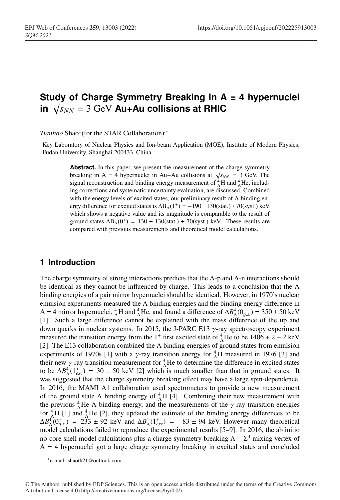# **Study of Charge Symmetry Breaking in A = 4 hypernuclei**  $\sqrt{s_{NN}}$  = 3 GeV Au+Au collisions at RHIC

*Tianhao* Shao<sup>1</sup>(for the STAR Collaboration)<sup>,</sup>\*

<sup>1</sup>Key Laboratory of Nuclear Physics and Ion-beam Application (MOE), Institute of Modern Physics, Fudan University, Shanghai 200433, China

> Abstract. In this paper, we present the measurement of the charge symmetry breaking in A = 4 hypernuclei in Au+Au collisions at  $\sqrt{s_{NN}}$  = 3 GeV. The signal reconstruction and binding energy measurement of  ${}^{4}_{\Lambda}$ H and  ${}^{4}_{\Lambda}$ He, including corrections and systematic uncertainty evaluation, are discussed. Combined with the energy levels of excited states, our preliminary result of  $\Lambda$  binding energy difference for excited states is  $\Delta B_\Lambda(1^+) = -190 \pm 130$ (stat.) ±70(syst.) keV which shows a negative value and its magnitude is comparable to the result of ground states  $\Delta B_{\Lambda}(0^+) = 130 \pm 130$ (stat.) ± 70(syst.) keV. These results are compared with previous measurements and theoretical model calculations.

## **1 Introduction**

The charge symmetry of strong interactions predicts that the  $\Lambda$ -p and  $\Lambda$ -n interactions should be identical as they cannot be influenced by charge. This leads to a conclusion that the  $\Lambda$ binding energies of a pair mirror hypernuclei should be identical. However, in 1970's nuclear emulsion experiments measured the Λ binding energies and the binding energy difference in A = 4 mirror hypernuclei,  ${}^{4}_{\Lambda}H$  and  ${}^{4}_{\Lambda}He$ , and found a difference of  $\Delta B^{4}_{\Lambda}(0^{+}_{g.s.}) = 350 \pm 50$  keV [1]. Such a large difference cannot be explained with the mass difference of the up and down quarks in nuclear systems. In 2015, the J-PARC E13  $\gamma$ -ray spectroscopy experiment measured the transition energy from the 1<sup>+</sup> first excited state of  $^{4}_{\Lambda}$ He to be 1406  $\pm$  2  $\pm$  2 keV [2]. The E13 collaboration combined the  $\Lambda$  binding energies of ground states from emulsion experiments of 1970s [1] with a  $\gamma$ -ray transition energy for  ${}^{4}_{\Lambda}$ H measured in 1976 [3] and their new  $\gamma$ -ray transition measurement for  ${}_{\Lambda}^{4}$ He to determine the difference in excited states to be  $\Delta B_{\Lambda}^4(1_{exc}^+)$  = 30 ± 50 keV [2] which is much smaller than that in ground states. It was suggested that the charge symmetry breaking effect may have a large spin-dependence. In 2016, the MAMI A1 collaboration used spectrometers to provide a new measurement of the ground state  $\Lambda$  binding energy of  ${}_{\Lambda}^{4}H$  [4]. Combining their new measurement with the previous  ${}^{4}_{\Lambda}$ He  $\Lambda$  binding energy, and the measurements of the  $\gamma$ -ray transition energies for  $^{4}_{\Lambda}$ H [1] and  $^{4}_{\Lambda}$ He [2], they updated the estimate of the binding energy differences to be  $\Delta B_{\Lambda}^4(0_{g.s.}^+)$  = 233 ± 92 keV and  $\Delta B_{\Lambda}^4(1_{exc}^+)$  = -83 ± 94 keV. However many theoretical model calculations failed to reproduce the experimental results [5–9]. In 2016, the ab initio no-core shell model calculations plus a charge symmetry breaking  $Λ - Σ<sup>0</sup>$  mixing vertex of  $A = 4$  hypernuclei got a large charge symmetry breaking in excited states and concluded

<sup>∗</sup>e-mail: shaoth21@outlook.com

<sup>©</sup> The Authors, published by EDP Sciences. This is an open access article distributed under the terms of the Creative Commons Attribution License 4.0 (http://creativecommons.org/licenses/by/4.0/).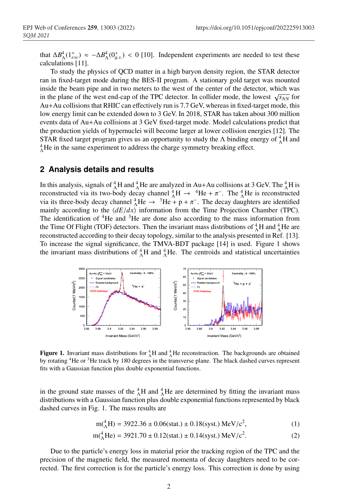that  $\Delta B_{\Lambda}^4(1_{exc}^+) \approx -\Delta B_{\Lambda}^4(0_{g.s.}^+) < 0$  [10]. Independent experiments are needed to test these calculations [11].

To study the physics of QCD matter in a high baryon density region, the STAR detector ran in fixed-target mode during the BES-II program. A stationary gold target was mounted inside the beam pipe and in two meters to the west of the center of the detector, which was in the plane of the west end-cap of the TPC detector. In collider mode, the lowest  $\sqrt{s_{NN}}$  for Au+Au collisions that RHIC can effectively run is 7.7 GeV, whereas in fixed-target mode, this low energy limit can be extended down to 3 GeV. In 2018, STAR has taken about 300 million events data of Au+Au collisions at 3 GeV fixed-target mode. Model calculations predict that the production yields of hypernuclei will become larger at lower collision energies [12]. The STAR fixed target program gives us an opportunity to study the  $\Lambda$  binding energy of  ${}_{\Lambda}^{4}H$  and  $^{4}_{\Lambda}$ He in the same experiment to address the charge symmetry breaking effect.

## **2 Analysis details and results**

In this analysis, signals of  ${}^{4}_{\Lambda}H$  and  ${}^{4}_{\Lambda}He$  are analyzed in Au+Au collisions at 3 GeV. The  ${}^{4}_{\Lambda}H$  is reconstructed via its two-body decay channel  ${}_{\Lambda}^{4}H \rightarrow {}^{4}He + \pi^-$ . The  ${}_{\Lambda}^{4}He$  is reconstructed via its three-body decay channel  $^{4}_{\Lambda}$ He →  $^{3}$ He + p +  $\pi^{-}$ . The decay daughters are identified mainly according to the  $\langle dE/dx \rangle$  information from the Time Projection Chamber (TPC). The identification of  ${}^{4}$ He and  ${}^{3}$ He are done also according to the mass information from the Time Of Flight (TOF) detectors. Then the invariant mass distributions of  $^{4}_{\Lambda}$ H and  $^{4}_{\Lambda}$ He are reconstructed according to their decay topology, similar to the analysis presented in Ref. [13]. To increase the signal significance, the TMVA-BDT package [14] is used. Figure 1 shows the invariant mass distributions of  $^{4}_{\Lambda}H$  and  $^{4}_{\Lambda}He$ . The centroids and statistical uncertainties



**Figure 1.** Invariant mass distributions for  ${}_{\Lambda}^{4}H$  and  ${}_{\Lambda}^{4}He$  reconstruction. The backgrounds are obtained by rotating 4He or 3He track by 180 degrees in the transverse plane. The black dashed curves represent fits with a Gaussian function plus double exponential functions.

in the ground state masses of the  ${}^{4}_{\Lambda}$ H and  ${}^{4}_{\Lambda}$ He are determined by fitting the invariant mass distributions with a Gaussian function plus double exponential functions represented by black dashed curves in Fig. 1. The mass results are

$$
m({}^{4}_{\Lambda}H) = 3922.36 \pm 0.06(stat.) \pm 0.18(syst.) MeV/c2,
$$
 (1)

$$
m_{\Lambda}^{4}He = 3921.70 \pm 0.12(stat.) \pm 0.14(syst.) MeV/c^{2}.
$$
 (2)

Due to the particle's energy loss in material prior the tracking region of the TPC and the precision of the magnetic field, the measured momenta of decay daughters need to be corrected. The first correction is for the particle's energy loss. This correction is done by using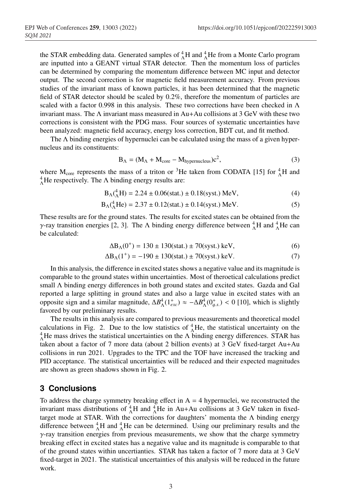the STAR embedding data. Generated samples of  ${}^{4}_{\Lambda}$ H and  ${}^{4}_{\Lambda}$ He from a Monte Carlo program are inputted into a GEANT virtual STAR detector. Then the momentum loss of particles can be determined by comparing the momentum difference between MC input and detector output. The second correction is for magnetic field measurement accuracy. From previous studies of the invariant mass of known particles, it has been determined that the magnetic field of STAR detector should be scaled by 0.2%, therefore the momentum of particles are scaled with a factor 0.998 in this analysis. These two corrections have been checked in  $\Lambda$ invariant mass. The  $\Lambda$  invariant mass measured in Au+Au collisions at 3 GeV with these two corrections is consistent with the PDG mass. Four sources of systematic uncertainties have been analyzed: magnetic field accuracy, energy loss correction, BDT cut, and fit method.

The  $\Lambda$  binding energies of hypernuclei can be calculated using the mass of a given hypernucleus and its constituents:

$$
B_{\Lambda} = (M_{\Lambda} + M_{\text{core}} - M_{\text{hypernucleus}})c^2,
$$
 (3)

where  $M_{\text{core}}$  represents the mass of a triton or <sup>3</sup>He taken from CODATA [15] for  $^{4}_{\Lambda}$ H and  $^{4}_{\Lambda}$ He respectively. The  $\Lambda$  binding energy results are:

$$
B_{\Lambda}({}^{4}_{\Lambda}H) = 2.24 \pm 0.06(stat.) \pm 0.18(syst.) \text{ MeV}, \tag{4}
$$

$$
B_{\Lambda}({}^{4}_{\Lambda}\text{He}) = 2.37 \pm 0.12(\text{stat.}) \pm 0.14(\text{syst.}) \text{ MeV.}
$$
 (5)

These results are for the ground states. The results for excited states can be obtained from the γ-ray transition energies [2, 3]. The Λ binding energy difference between  $^{4}_{\Lambda}$ H and  $^{4}_{\Lambda}$ He can be calculated:

$$
\Delta B_{\Lambda}(0^{+}) = 130 \pm 130 \text{(stat.)} \pm 70 \text{(syst.)} \text{ keV}, \tag{6}
$$

$$
\Delta B_{\Lambda}(1^{+}) = -190 \pm 130 \text{(stat.)} \pm 70 \text{(syst.)} \text{ keV.}
$$
 (7)

In this analysis, the difference in excited states shows a negative value and its magnitude is comparable to the ground states within uncertainties. Most of theroetical calculations predict small Λ binding energy differences in both ground states and excited states. Gazda and Gal reported a large splitting in ground states and also a large value in excited states with an opposite sign and a similar magnitude,  $\Delta B_{\Lambda}^4(1_{exc}^+) \approx -\Delta B_{\Lambda}^4(0_{g.s.}^+) < 0$  [10], which is slightly favored by our preliminary results.

The results in this analysis are compared to previous measurements and theoretical model calculations in Fig. 2. Due to the low statistics of  $^{4}_{\Lambda}$ He, the statistical uncertainty on the  $^{4}_{\Lambda}$ He mass drives the statistical uncertainties on the  $\Lambda$  binding energy differences. STAR has taken about a factor of 7 more data (about 2 billion events) at 3 GeV fixed-target Au+Au collisions in run 2021. Upgrades to the TPC and the TOF have increased the tracking and PID acceptance. The statistical uncertainties will be reduced and their expected magnitudes are shown as green shadows shown in Fig. 2.

## **3 Conclusions**

To address the charge symmetry breaking effect in  $A = 4$  hypernuclei, we reconstructed the invariant mass distributions of  ${}^{4}_{\Lambda}H$  and  ${}^{4}_{\Lambda}He$  in Au+Au collisions at 3 GeV taken in fixedtarget mode at STAR. With the corrections for daughters' momenta the  $\Lambda$  binding energy difference between  ${}^{4}_{\Lambda}$ H and  ${}^{4}_{\Lambda}$ He can be determined. Using our preliminary results and the  $\gamma$ -ray transition energies from previous measurements, we show that the charge symmetry breaking effect in excited states has a negative value and its magnitude is comparable to that of the ground states within uncertianties. STAR has taken a factor of 7 more data at 3 GeV fixed-target in 2021. The statistical uncertainties of this analysis will be reduced in the future work.